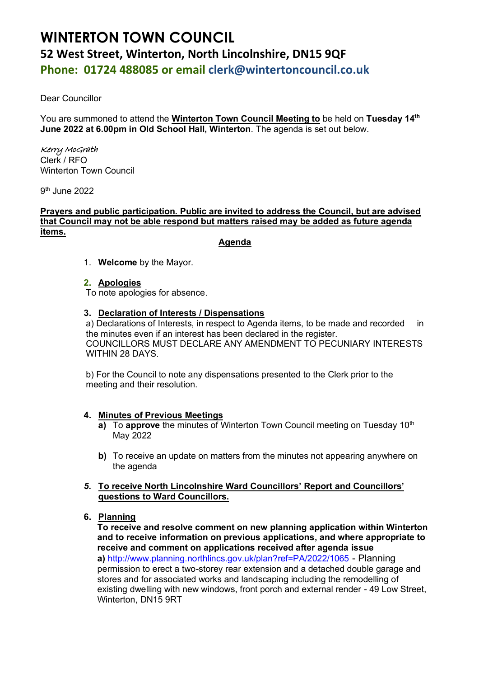# **WINTERTON TOWN COUNCIL 52 West Street, Winterton, North Lincolnshire, DN15 9QF Phone: 01724 488085 or email clerk@wintertoncouncil.co.uk**

Dear Councillor

You are summoned to attend the **Winterton Town Council Meeting to** be held on **Tuesday 14th June 2022 at 6.00pm in Old School Hall, Winterton**. The agenda is set out below.

# Kerry McGrath Clerk / RFO

Winterton Town Council

9 th June 2022

# **Prayers and public participation. Public are invited to address the Council, but are advised that Council may not be able respond but matters raised may be added as future agenda items.**

# **Agenda**

1. **Welcome** by the Mayor.

# **2. Apologies**

To note apologies for absence.

# **3. Declaration of Interests / Dispensations**

a) Declarations of Interests, in respect to Agenda items, to be made and recorded in the minutes even if an interest has been declared in the register. COUNCILLORS MUST DECLARE ANY AMENDMENT TO PECUNIARY INTERESTS WITHIN 28 DAYS.

b) For the Council to note any dispensations presented to the Clerk prior to the meeting and their resolution.

# **4. Minutes of Previous Meetings**

- **a)** To **approve** the minutes of Winterton Town Council meeting on Tuesday 10<sup>th</sup> May 2022
- **b)** To receive an update on matters from the minutes not appearing anywhere on the agenda

# *5.* **To receive North Lincolnshire Ward Councillors' Report and Councillors' questions to Ward Councillors.**

# **6. Planning**

**To receive and resolve comment on new planning application within Winterton and to receive information on previous applications, and where appropriate to receive and comment on applications received after agenda issue a)** <http://www.planning.northlincs.gov.uk/plan?ref=PA/2022/1065> - Planning permission to erect a two-storey rear extension and a detached double garage and stores and for associated works and landscaping including the remodelling of existing dwelling with new windows, front porch and external render - 49 Low Street, Winterton, DN15 9RT